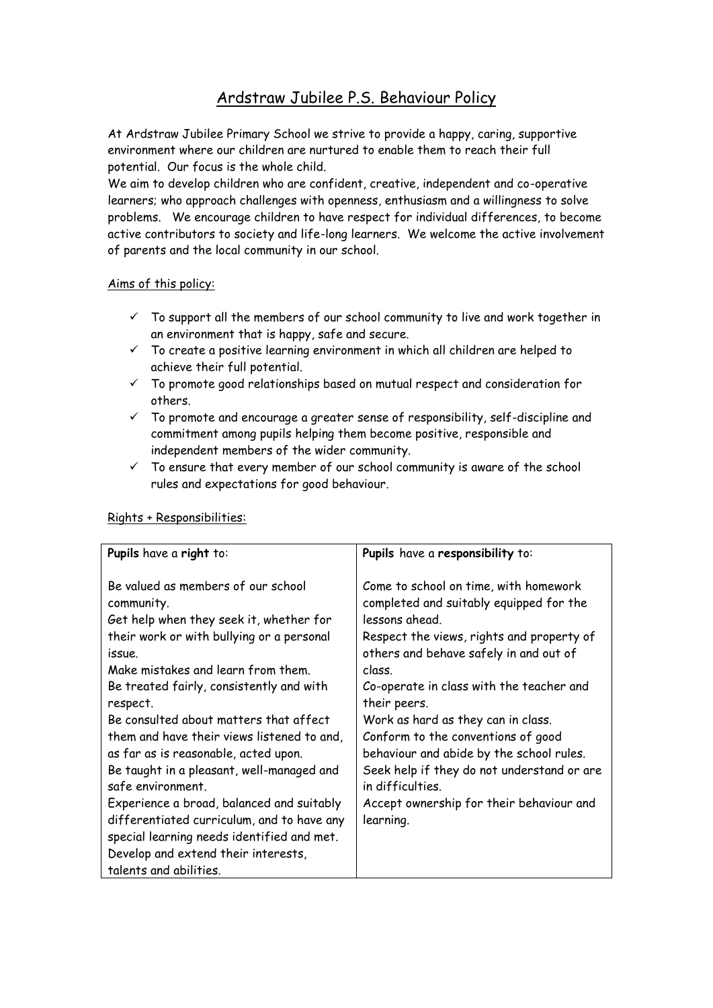# Ardstraw Jubilee P.S. Behaviour Policy

At Ardstraw Jubilee Primary School we strive to provide a happy, caring, supportive environment where our children are nurtured to enable them to reach their full potential. Our focus is the whole child.

We aim to develop children who are confident, creative, independent and co-operative learners; who approach challenges with openness, enthusiasm and a willingness to solve problems. We encourage children to have respect for individual differences, to become active contributors to society and life-long learners. We welcome the active involvement of parents and the local community in our school.

## Aims of this policy:

- $\checkmark$  To support all the members of our school community to live and work together in an environment that is happy, safe and secure.
- $\checkmark$  To create a positive learning environment in which all children are helped to achieve their full potential.
- $\checkmark$  To promote good relationships based on mutual respect and consideration for others.
- $\checkmark$  To promote and encourage a greater sense of responsibility, self-discipline and commitment among pupils helping them become positive, responsible and independent members of the wider community.
- $\checkmark$  To ensure that every member of our school community is aware of the school rules and expectations for good behaviour.

| Pupils have a right to:                                                                                                                                                                                                                                                                                                                                                                                                                                                                                                                                                                                                                                      | Pupils have a responsibility to:                                                                                                                                                                                                                                                                                                                                                                                                                                                                                   |
|--------------------------------------------------------------------------------------------------------------------------------------------------------------------------------------------------------------------------------------------------------------------------------------------------------------------------------------------------------------------------------------------------------------------------------------------------------------------------------------------------------------------------------------------------------------------------------------------------------------------------------------------------------------|--------------------------------------------------------------------------------------------------------------------------------------------------------------------------------------------------------------------------------------------------------------------------------------------------------------------------------------------------------------------------------------------------------------------------------------------------------------------------------------------------------------------|
| Be valued as members of our school<br>community.<br>Get help when they seek it, whether for<br>their work or with bullying or a personal<br>issue.<br>Make mistakes and learn from them.<br>Be treated fairly, consistently and with<br>respect.<br>Be consulted about matters that affect<br>them and have their views listened to and,<br>as far as is reasonable, acted upon.<br>Be taught in a pleasant, well-managed and<br>safe environment.<br>Experience a broad, balanced and suitably<br>differentiated curriculum, and to have any<br>special learning needs identified and met.<br>Develop and extend their interests,<br>talents and abilities. | Come to school on time, with homework<br>completed and suitably equipped for the<br>lessons ahead.<br>Respect the views, rights and property of<br>others and behave safely in and out of<br>class.<br>Co-operate in class with the teacher and<br>their peers.<br>Work as hard as they can in class.<br>Conform to the conventions of good<br>behaviour and abide by the school rules.<br>Seek help if they do not understand or are<br>in difficulties.<br>Accept ownership for their behaviour and<br>learning. |

## Rights + Responsibilities: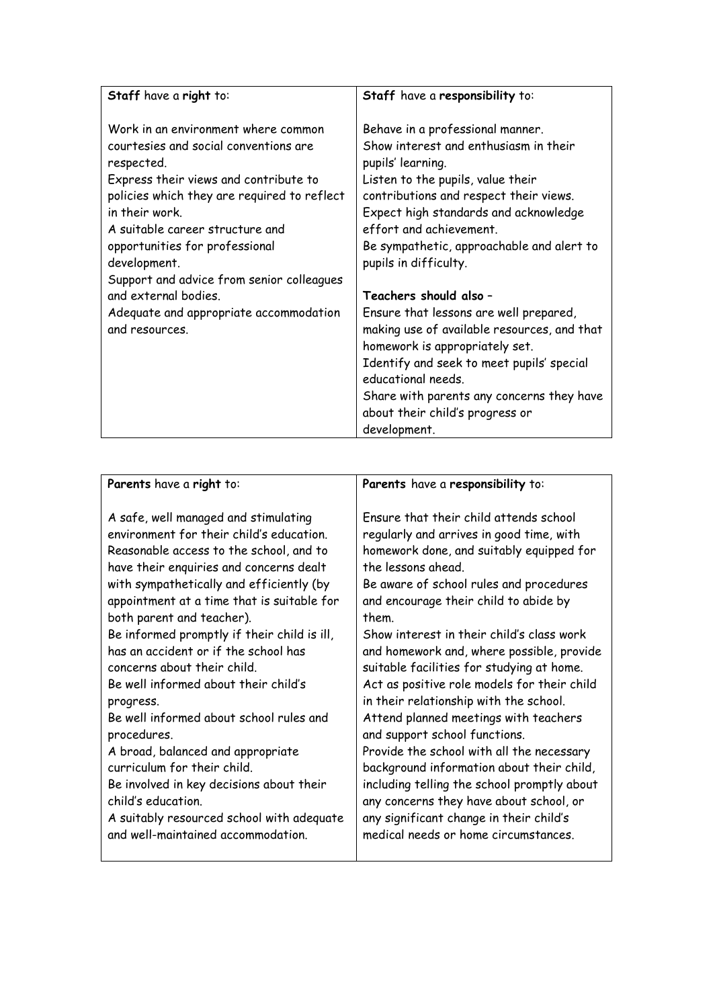| Staff have a right to:                                                                                                                                                                                                                                                                    | Staff have a responsibility to:                                                                                                                                                                                                                                                                                         |
|-------------------------------------------------------------------------------------------------------------------------------------------------------------------------------------------------------------------------------------------------------------------------------------------|-------------------------------------------------------------------------------------------------------------------------------------------------------------------------------------------------------------------------------------------------------------------------------------------------------------------------|
| Work in an environment where common<br>courtesies and social conventions are<br>respected.<br>Express their views and contribute to<br>policies which they are required to reflect<br>in their work.<br>A suitable career structure and<br>opportunities for professional<br>development. | Behave in a professional manner.<br>Show interest and enthusiasm in their<br>pupils' learning.<br>Listen to the pupils, value their<br>contributions and respect their views.<br>Expect high standards and acknowledge<br>effort and achievement.<br>Be sympathetic, approachable and alert to<br>pupils in difficulty. |
| Support and advice from senior colleagues<br>and external bodies.<br>Adequate and appropriate accommodation<br>and resources.                                                                                                                                                             | Teachers should also -<br>Ensure that lessons are well prepared,<br>making use of available resources, and that<br>homework is appropriately set.<br>Identify and seek to meet pupils' special<br>educational needs.<br>Share with parents any concerns they have<br>about their child's progress or<br>development.    |

| Parents have a right to:                    | Parents have a responsibility to:           |
|---------------------------------------------|---------------------------------------------|
| A safe, well managed and stimulating        | Ensure that their child attends school      |
| environment for their child's education.    | regularly and arrives in good time, with    |
| Reasonable access to the school, and to     | homework done, and suitably equipped for    |
| have their enquiries and concerns dealt     | the lessons ahead                           |
| with sympathetically and efficiently (by    | Be aware of school rules and procedures     |
| appointment at a time that is suitable for  | and encourage their child to abide by       |
| both parent and teacher).                   | them                                        |
| Be informed promptly if their child is ill, | Show interest in their child's class work   |
| has an accident or if the school has        | and homework and, where possible, provide   |
| concerns about their child.                 | suitable facilities for studying at home.   |
| Be well informed about their child's        | Act as positive role models for their child |
| progress.                                   | in their relationship with the school.      |
| Be well informed about school rules and     | Attend planned meetings with teachers       |
| procedures.                                 | and support school functions.               |
| A broad, balanced and appropriate           | Provide the school with all the necessary   |
| curriculum for their child.                 | background information about their child,   |
| Be involved in key decisions about their    | including telling the school promptly about |
| child's education                           | any concerns they have about school, or     |
| A suitably resourced school with adequate   | any significant change in their child's     |
| and well-maintained accommodation.          | medical needs or home circumstances.        |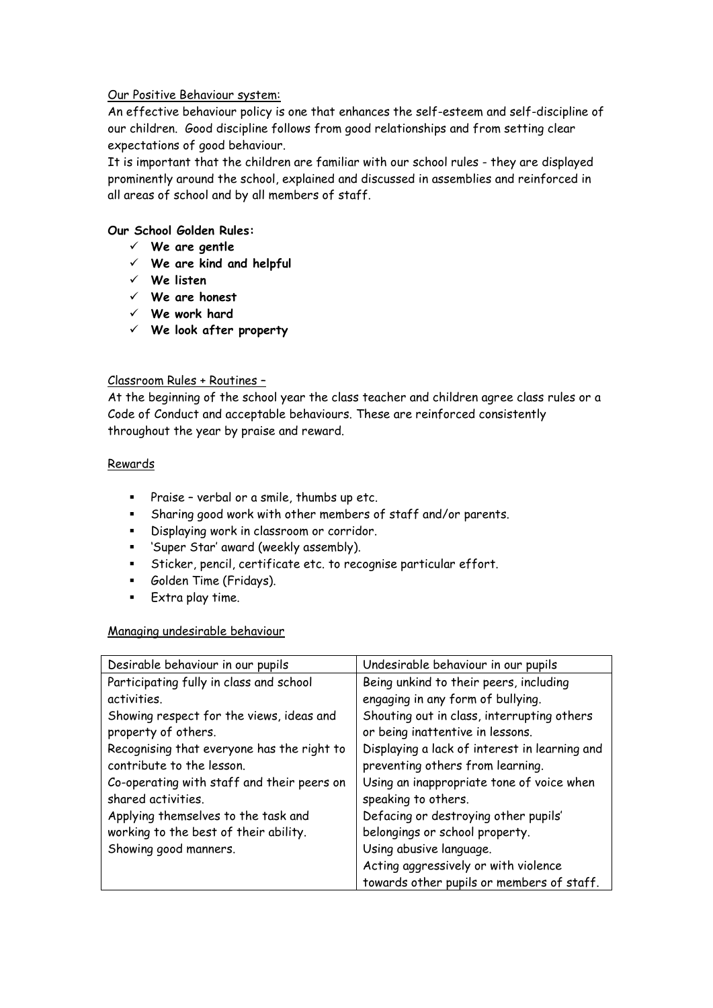## Our Positive Behaviour system:

An effective behaviour policy is one that enhances the self-esteem and self-discipline of our children. Good discipline follows from good relationships and from setting clear expectations of good behaviour.

It is important that the children are familiar with our school rules - they are displayed prominently around the school, explained and discussed in assemblies and reinforced in all areas of school and by all members of staff.

# **Our School Golden Rules:**

- **We are gentle**
- **We are kind and helpful**
- **We listen**
- **We are honest**
- **We work hard**
- **We look after property**

#### Classroom Rules + Routines –

At the beginning of the school year the class teacher and children agree class rules or a Code of Conduct and acceptable behaviours. These are reinforced consistently throughout the year by praise and reward.

#### **Rewards**

- Praise verbal or a smile, thumbs up etc.
- Sharing good work with other members of staff and/or parents.
- Displaying work in classroom or corridor.
- 'Super Star' award (weekly assembly).
- Sticker, pencil, certificate etc. to recognise particular effort.
- **Golden Time (Fridays).**
- **Extra play time.**

#### Managing undesirable behaviour

| Desirable behaviour in our pupils          | Undesirable behaviour in our pupils           |
|--------------------------------------------|-----------------------------------------------|
| Participating fully in class and school    | Being unkind to their peers, including        |
| activities.                                | engaging in any form of bullying.             |
| Showing respect for the views, ideas and   | Shouting out in class, interrupting others    |
| property of others.                        | or being inattentive in lessons.              |
| Recognising that everyone has the right to | Displaying a lack of interest in learning and |
| contribute to the lesson.                  | preventing others from learning.              |
| Co-operating with staff and their peers on | Using an inappropriate tone of voice when     |
| shared activities.                         | speaking to others.                           |
| Applying themselves to the task and        | Defacing or destroying other pupils'          |
| working to the best of their ability.      | belongings or school property.                |
| Showing good manners.                      | Using abusive language.                       |
|                                            | Acting aggressively or with violence          |
|                                            | towards other pupils or members of staff.     |